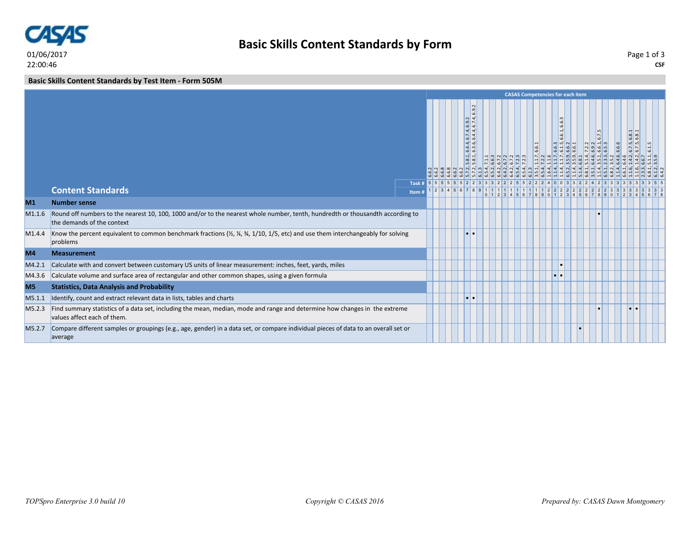

**Basic Skills Content Standards by Test Item - Form 505M**

|                    |                                                                                                                                                                                                      |      | <b>CASAS Competencies for each item</b><br>l di<br>۱ю<br> a <br>$\left  \frac{9}{6}\right $<br>نه.<br>$6.7.4$ , 6.4.4,<br>6.1.<br>6.8.1<br>6.7<br>$6.\overline{4},\overline{6},\overline{6}$<br> n n <br>$\frac{1}{2}$ m $\frac{1}{2}$ m $\frac{1}{2}$<br>$\frac{2}{9}$ $\frac{3}{9}$ $\frac{1}{9}$ $\frac{3}{9}$<br>6.6.6<br>6.6.1<br>5.8.1<br>$\frac{1}{2} \left  \frac{1}{2} \right  \left  \frac{1}{2} \right  \left  \frac{1}{2} \right  \left  \frac{1}{2} \right  \left  \frac{1}{2} \right  \left  \frac{1}{2} \right  \left  \frac{1}{2} \right  \left  \frac{1}{2} \right  \left  \frac{1}{2} \right  \left  \frac{1}{2} \right  \left  \frac{1}{2} \right  \left  \frac{1}{2} \right  \left  \frac{1}{2} \right  \left  \frac{1}{2} \right  \left  \frac{1}{2} \right  \left  \frac{1}{2} \right  \left  \frac$<br>$11111111111111112222222222223333333$<br>0 1 2 3 4 5 6 7 8 9 0 1 2 3 4 5 6 7 8 9 0 1 2 3 4 5 6 7 8 9 0 1 2 3 4 5 6 7 8 |          |  |  |  |  |  |  |  |  |  |  |  |  |  |
|--------------------|------------------------------------------------------------------------------------------------------------------------------------------------------------------------------------------------------|------|------------------------------------------------------------------------------------------------------------------------------------------------------------------------------------------------------------------------------------------------------------------------------------------------------------------------------------------------------------------------------------------------------------------------------------------------------------------------------------------------------------------------------------------------------------------------------------------------------------------------------------------------------------------------------------------------------------------------------------------------------------------------------------------------------------------------------------------------------------------------------------------------------------------------------------------------------|----------|--|--|--|--|--|--|--|--|--|--|--|--|--|
|                    |                                                                                                                                                                                                      |      |                                                                                                                                                                                                                                                                                                                                                                                                                                                                                                                                                                                                                                                                                                                                                                                                                                                                                                                                                      |          |  |  |  |  |  |  |  |  |  |  |  |  |  |
|                    | <b>Content Standards</b>                                                                                                                                                                             |      |                                                                                                                                                                                                                                                                                                                                                                                                                                                                                                                                                                                                                                                                                                                                                                                                                                                                                                                                                      |          |  |  |  |  |  |  |  |  |  |  |  |  |  |
| M1                 | <b>Number sense</b>                                                                                                                                                                                  | Item |                                                                                                                                                                                                                                                                                                                                                                                                                                                                                                                                                                                                                                                                                                                                                                                                                                                                                                                                                      |          |  |  |  |  |  |  |  |  |  |  |  |  |  |
| M1.1.6             | Round off numbers to the nearest 10, 100, 1000 and/or to the nearest whole number, tenth, hundredth or thousandth according to<br>the demands of the context                                         |      |                                                                                                                                                                                                                                                                                                                                                                                                                                                                                                                                                                                                                                                                                                                                                                                                                                                                                                                                                      |          |  |  |  |  |  |  |  |  |  |  |  |  |  |
| M <sub>1.4.4</sub> | Know the percent equivalent to common benchmark fractions $\frac{1}{2}$ , $\frac{1}{4}$ , $\frac{3}{4}$ , $\frac{1}{10}$ , $\frac{1}{5}$ , etc) and use them interchangeably for solving<br>problems |      |                                                                                                                                                                                                                                                                                                                                                                                                                                                                                                                                                                                                                                                                                                                                                                                                                                                                                                                                                      | l.       |  |  |  |  |  |  |  |  |  |  |  |  |  |
| M4                 | <b>Measurement</b>                                                                                                                                                                                   |      |                                                                                                                                                                                                                                                                                                                                                                                                                                                                                                                                                                                                                                                                                                                                                                                                                                                                                                                                                      |          |  |  |  |  |  |  |  |  |  |  |  |  |  |
| M4.2.1             | Calculate with and convert between customary US units of linear measurement: inches, feet, yards, miles                                                                                              |      |                                                                                                                                                                                                                                                                                                                                                                                                                                                                                                                                                                                                                                                                                                                                                                                                                                                                                                                                                      |          |  |  |  |  |  |  |  |  |  |  |  |  |  |
| M4.3.6             | Calculate volume and surface area of rectangular and other common shapes, using a given formula                                                                                                      |      |                                                                                                                                                                                                                                                                                                                                                                                                                                                                                                                                                                                                                                                                                                                                                                                                                                                                                                                                                      |          |  |  |  |  |  |  |  |  |  |  |  |  |  |
| M <sub>5</sub>     | <b>Statistics, Data Analysis and Probability</b>                                                                                                                                                     |      |                                                                                                                                                                                                                                                                                                                                                                                                                                                                                                                                                                                                                                                                                                                                                                                                                                                                                                                                                      |          |  |  |  |  |  |  |  |  |  |  |  |  |  |
| M5.1.1             | Identify, count and extract relevant data in lists, tables and charts                                                                                                                                |      |                                                                                                                                                                                                                                                                                                                                                                                                                                                                                                                                                                                                                                                                                                                                                                                                                                                                                                                                                      | <b>D</b> |  |  |  |  |  |  |  |  |  |  |  |  |  |
| M5.2.3             | Find summary statistics of a data set, including the mean, median, mode and range and determine how changes in the extreme<br>values affect each of them.                                            |      |                                                                                                                                                                                                                                                                                                                                                                                                                                                                                                                                                                                                                                                                                                                                                                                                                                                                                                                                                      |          |  |  |  |  |  |  |  |  |  |  |  |  |  |
| M5.2.7             | Compare different samples or groupings (e.g., age, gender) in a data set, or compare individual pieces of data to an overall set or<br>average                                                       |      |                                                                                                                                                                                                                                                                                                                                                                                                                                                                                                                                                                                                                                                                                                                                                                                                                                                                                                                                                      |          |  |  |  |  |  |  |  |  |  |  |  |  |  |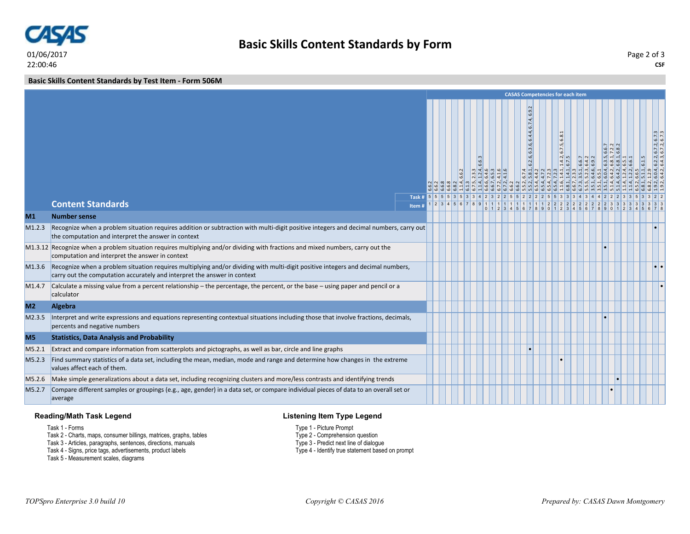

22:00:46

**Basic Skills Content Standards by Test Item - Form 506M**

|                |                                                                                                                                                                                                             |                    | <b>CASAS Competencies for each item</b> |  |  |  |  |  |  |  |                                                      |  |  |                                       |  |  |  |                     |
|----------------|-------------------------------------------------------------------------------------------------------------------------------------------------------------------------------------------------------------|--------------------|-----------------------------------------|--|--|--|--|--|--|--|------------------------------------------------------|--|--|---------------------------------------|--|--|--|---------------------|
|                |                                                                                                                                                                                                             | Task # 5 5 5 5 3 5 |                                         |  |  |  |  |  |  |  | $\boxed{6.9}$<br>ব;<br>6.7<br>6.4.4,<br>6.2.6, 6.3.6 |  |  | 6.8.1<br>$\frac{1.4.2, 6.7.5}{6.7.5}$ |  |  |  | 6.2.2, 6.7.2, 6.7.3 |
|                | <b>Content Standards</b>                                                                                                                                                                                    | Item#              |                                         |  |  |  |  |  |  |  |                                                      |  |  |                                       |  |  |  |                     |
| M1             | <b>Number sense</b>                                                                                                                                                                                         |                    |                                         |  |  |  |  |  |  |  |                                                      |  |  |                                       |  |  |  |                     |
| M1.2.3         | Recognize when a problem situation requires addition or subtraction with multi-digit positive integers and decimal numbers, carry out<br>the computation and interpret the answer in context                |                    |                                         |  |  |  |  |  |  |  |                                                      |  |  |                                       |  |  |  |                     |
|                | M1.3.12 Recognize when a problem situation requires multiplying and/or dividing with fractions and mixed numbers, carry out the<br>computation and interpret the answer in context                          |                    |                                         |  |  |  |  |  |  |  |                                                      |  |  |                                       |  |  |  |                     |
| M1.3.6         | Recognize when a problem situation requires multiplying and/or dividing with multi-digit positive integers and decimal numbers,<br>carry out the computation accurately and interpret the answer in context |                    |                                         |  |  |  |  |  |  |  |                                                      |  |  |                                       |  |  |  |                     |
| M1.4.7         | Calculate a missing value from a percent relationship – the percentage, the percent, or the base – using paper and pencil or a<br>calculator                                                                |                    |                                         |  |  |  |  |  |  |  |                                                      |  |  |                                       |  |  |  |                     |
| M <sub>2</sub> | Algebra                                                                                                                                                                                                     |                    |                                         |  |  |  |  |  |  |  |                                                      |  |  |                                       |  |  |  |                     |
| M2.3.5         | Interpret and write expressions and equations representing contextual situations including those that involve fractions, decimals,<br>percents and negative numbers                                         |                    |                                         |  |  |  |  |  |  |  |                                                      |  |  |                                       |  |  |  |                     |
| M <sub>5</sub> | <b>Statistics, Data Analysis and Probability</b>                                                                                                                                                            |                    |                                         |  |  |  |  |  |  |  |                                                      |  |  |                                       |  |  |  |                     |
| M5.2.1         | Extract and compare information from scatterplots and pictographs, as well as bar, circle and line graphs                                                                                                   |                    |                                         |  |  |  |  |  |  |  |                                                      |  |  |                                       |  |  |  |                     |
| M5.2.3         | Find summary statistics of a data set, including the mean, median, mode and range and determine how changes in the extreme<br>values affect each of them.                                                   |                    |                                         |  |  |  |  |  |  |  |                                                      |  |  |                                       |  |  |  |                     |
| M5.2.6         | Make simple generalizations about a data set, including recognizing clusters and more/less contrasts and identifying trends                                                                                 |                    |                                         |  |  |  |  |  |  |  |                                                      |  |  |                                       |  |  |  |                     |
| M5.2.7         | Compare different samples or groupings (e.g., age, gender) in a data set, or compare individual pieces of data to an overall set or<br>average                                                              |                    |                                         |  |  |  |  |  |  |  |                                                      |  |  |                                       |  |  |  |                     |

## **Reading/Math Task Legend**

## **Listening Item Type Legend**

- Task 1 Forms
- Task 2 Charts, maps, consumer billings, matrices, graphs, tables
- Task 3 Articles, paragraphs, sentences, directions, manuals
- Task 4 Signs, price tags, advertisements, product labels
- Task 5 Measurement scales, diagrams
- Type 1 Picture Prompt Type 2 - Comprehension question
- 
- Type 3 Predict next line of dialogue
- Type 4 Identify true statement based on prompt